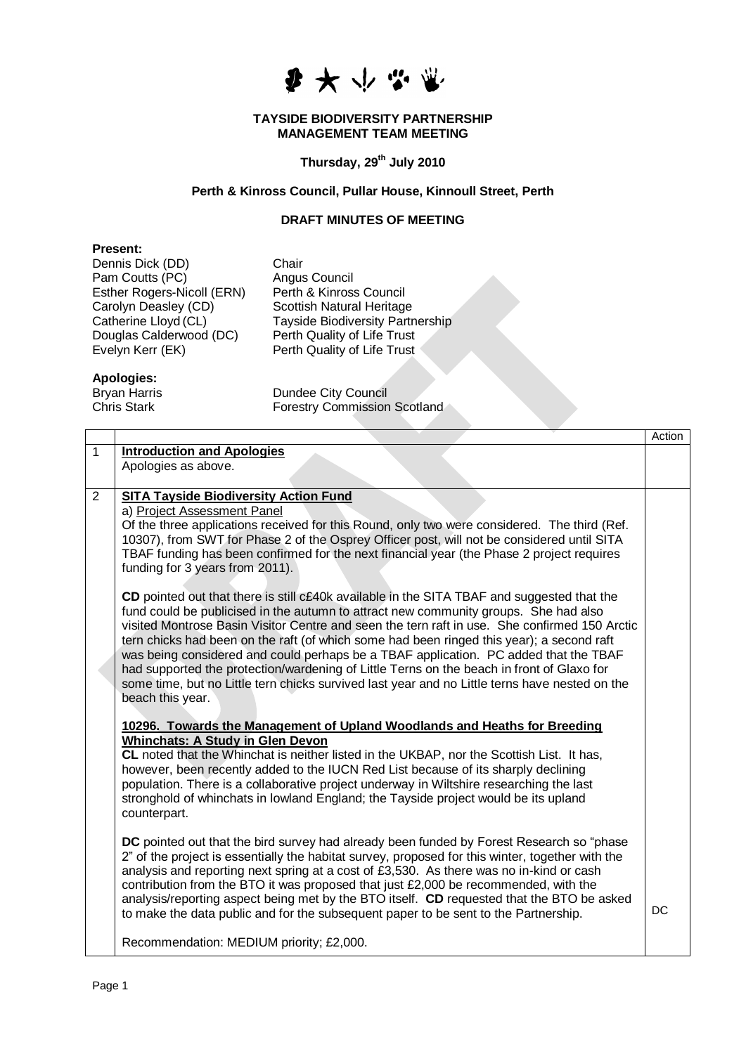

#### **TAYSIDE BIODIVERSITY PARTNERSHIP MANAGEMENT TEAM MEETING**

# **Thursday, 29th July 2010**

## **Perth & Kinross Council, Pullar House, Kinnoull Street, Perth**

## **DRAFT MINUTES OF MEETING**

#### **Present:**

Dennis Dick (DD) Chair Pam Coutts (PC) Angus Council<br>Esther Rogers-Nicoll (ERN) Perth & Kinross Council Esther Rogers-Nicoll (ERN) Carolyn Deasley (CD) Scottish Natural Heritage<br>Catherine Lloyd (CL) Tayside Biodiversity Partr Douglas Calderwood (DC)<br>Evelyn Kerr (EK)

Tayside Biodiversity Partnership<br>Perth Quality of Life Trust Perth Quality of Life Trust

# **Apologies:**

Bryan Harris **Dundee City Council**<br>Chris Stark **Chris Council**<br>Forestry Commission Forestry Commission Scotland

|                |                                                                                                                                                                                                                                                                                                                                                                                                                                                                                                                                                                                                                                                                                             | Action    |
|----------------|---------------------------------------------------------------------------------------------------------------------------------------------------------------------------------------------------------------------------------------------------------------------------------------------------------------------------------------------------------------------------------------------------------------------------------------------------------------------------------------------------------------------------------------------------------------------------------------------------------------------------------------------------------------------------------------------|-----------|
| $\mathbf{1}$   | <b>Introduction and Apologies</b>                                                                                                                                                                                                                                                                                                                                                                                                                                                                                                                                                                                                                                                           |           |
|                | Apologies as above.                                                                                                                                                                                                                                                                                                                                                                                                                                                                                                                                                                                                                                                                         |           |
| $\overline{2}$ |                                                                                                                                                                                                                                                                                                                                                                                                                                                                                                                                                                                                                                                                                             |           |
|                | <b>SITA Tayside Biodiversity Action Fund</b><br>a) Project Assessment Panel                                                                                                                                                                                                                                                                                                                                                                                                                                                                                                                                                                                                                 |           |
|                | Of the three applications received for this Round, only two were considered. The third (Ref.<br>10307), from SWT for Phase 2 of the Osprey Officer post, will not be considered until SITA<br>TBAF funding has been confirmed for the next financial year (the Phase 2 project requires<br>funding for 3 years from 2011).                                                                                                                                                                                                                                                                                                                                                                  |           |
|                | CD pointed out that there is still c£40k available in the SITA TBAF and suggested that the<br>fund could be publicised in the autumn to attract new community groups. She had also<br>visited Montrose Basin Visitor Centre and seen the tern raft in use. She confirmed 150 Arctic<br>tern chicks had been on the raft (of which some had been ringed this year); a second raft<br>was being considered and could perhaps be a TBAF application. PC added that the TBAF<br>had supported the protection/wardening of Little Terns on the beach in front of Glaxo for<br>some time, but no Little tern chicks survived last year and no Little terns have nested on the<br>beach this year. |           |
|                | 10296. Towards the Management of Upland Woodlands and Heaths for Breeding                                                                                                                                                                                                                                                                                                                                                                                                                                                                                                                                                                                                                   |           |
|                | <b>Whinchats: A Study in Glen Devon</b>                                                                                                                                                                                                                                                                                                                                                                                                                                                                                                                                                                                                                                                     |           |
|                | CL noted that the Whinchat is neither listed in the UKBAP, nor the Scottish List. It has,                                                                                                                                                                                                                                                                                                                                                                                                                                                                                                                                                                                                   |           |
|                | however, been recently added to the IUCN Red List because of its sharply declining                                                                                                                                                                                                                                                                                                                                                                                                                                                                                                                                                                                                          |           |
|                | population. There is a collaborative project underway in Wiltshire researching the last<br>stronghold of whinchats in lowland England; the Tayside project would be its upland<br>counterpart.                                                                                                                                                                                                                                                                                                                                                                                                                                                                                              |           |
|                | DC pointed out that the bird survey had already been funded by Forest Research so "phase<br>2" of the project is essentially the habitat survey, proposed for this winter, together with the<br>analysis and reporting next spring at a cost of £3,530. As there was no in-kind or cash<br>contribution from the BTO it was proposed that just £2,000 be recommended, with the<br>analysis/reporting aspect being met by the BTO itself. CD requested that the BTO be asked<br>to make the data public and for the subsequent paper to be sent to the Partnership.                                                                                                                          | <b>DC</b> |
|                | Recommendation: MEDIUM priority; £2,000.                                                                                                                                                                                                                                                                                                                                                                                                                                                                                                                                                                                                                                                    |           |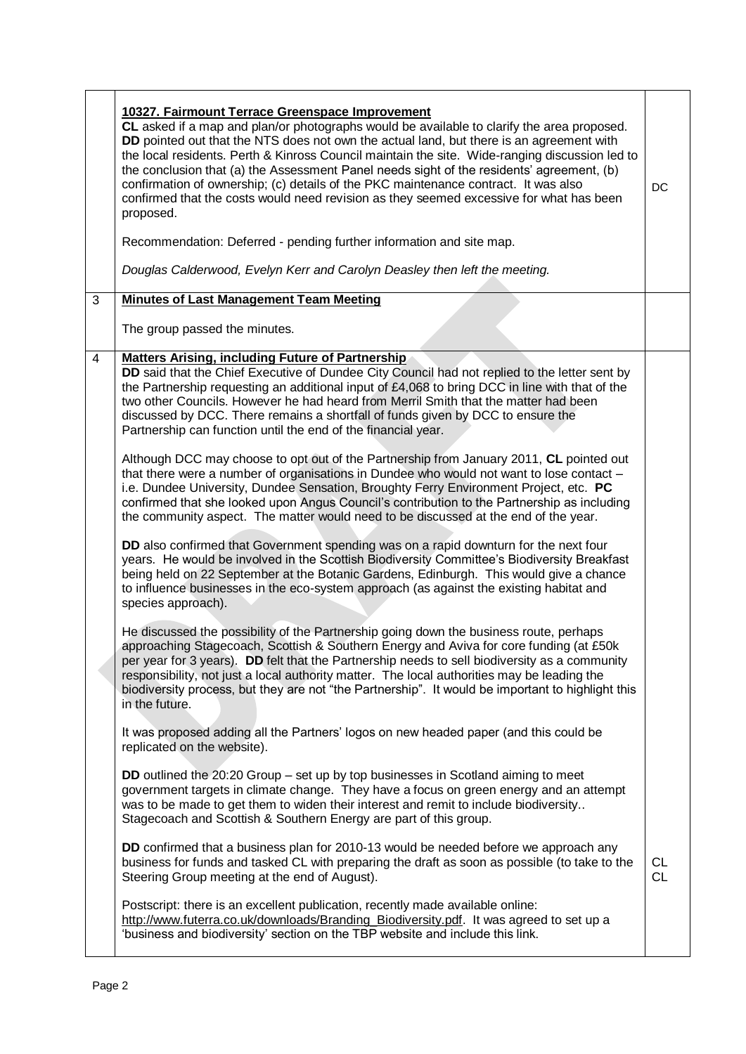|   | 10327. Fairmount Terrace Greenspace Improvement<br>CL asked if a map and plan/or photographs would be available to clarify the area proposed.<br>DD pointed out that the NTS does not own the actual land, but there is an agreement with<br>the local residents. Perth & Kinross Council maintain the site. Wide-ranging discussion led to<br>the conclusion that (a) the Assessment Panel needs sight of the residents' agreement, (b)<br>confirmation of ownership; (c) details of the PKC maintenance contract. It was also<br>confirmed that the costs would need revision as they seemed excessive for what has been<br>proposed.<br>Recommendation: Deferred - pending further information and site map.<br>Douglas Calderwood, Evelyn Kerr and Carolyn Deasley then left the meeting.                                                                                                                                                                                                                                                                                                                                                                                                                                                                                                                                                                                                                                                                                                                                                                                                                                                                                                                                                                                                                                                                                                                                                                                                                                                                                                                                                                                                                                                                                                                                                                                                                                                                                                                                                                                                          | DC                     |
|---|--------------------------------------------------------------------------------------------------------------------------------------------------------------------------------------------------------------------------------------------------------------------------------------------------------------------------------------------------------------------------------------------------------------------------------------------------------------------------------------------------------------------------------------------------------------------------------------------------------------------------------------------------------------------------------------------------------------------------------------------------------------------------------------------------------------------------------------------------------------------------------------------------------------------------------------------------------------------------------------------------------------------------------------------------------------------------------------------------------------------------------------------------------------------------------------------------------------------------------------------------------------------------------------------------------------------------------------------------------------------------------------------------------------------------------------------------------------------------------------------------------------------------------------------------------------------------------------------------------------------------------------------------------------------------------------------------------------------------------------------------------------------------------------------------------------------------------------------------------------------------------------------------------------------------------------------------------------------------------------------------------------------------------------------------------------------------------------------------------------------------------------------------------------------------------------------------------------------------------------------------------------------------------------------------------------------------------------------------------------------------------------------------------------------------------------------------------------------------------------------------------------------------------------------------------------------------------------------------------|------------------------|
| 3 | <b>Minutes of Last Management Team Meeting</b>                                                                                                                                                                                                                                                                                                                                                                                                                                                                                                                                                                                                                                                                                                                                                                                                                                                                                                                                                                                                                                                                                                                                                                                                                                                                                                                                                                                                                                                                                                                                                                                                                                                                                                                                                                                                                                                                                                                                                                                                                                                                                                                                                                                                                                                                                                                                                                                                                                                                                                                                                         |                        |
|   | The group passed the minutes.                                                                                                                                                                                                                                                                                                                                                                                                                                                                                                                                                                                                                                                                                                                                                                                                                                                                                                                                                                                                                                                                                                                                                                                                                                                                                                                                                                                                                                                                                                                                                                                                                                                                                                                                                                                                                                                                                                                                                                                                                                                                                                                                                                                                                                                                                                                                                                                                                                                                                                                                                                          |                        |
| 4 | <b>Matters Arising, including Future of Partnership</b><br>DD said that the Chief Executive of Dundee City Council had not replied to the letter sent by<br>the Partnership requesting an additional input of £4,068 to bring DCC in line with that of the<br>two other Councils. However he had heard from Merril Smith that the matter had been<br>discussed by DCC. There remains a shortfall of funds given by DCC to ensure the<br>Partnership can function until the end of the financial year.<br>Although DCC may choose to opt out of the Partnership from January 2011, CL pointed out<br>that there were a number of organisations in Dundee who would not want to lose contact -<br>i.e. Dundee University, Dundee Sensation, Broughty Ferry Environment Project, etc. PC<br>confirmed that she looked upon Angus Council's contribution to the Partnership as including<br>the community aspect. The matter would need to be discussed at the end of the year.<br>DD also confirmed that Government spending was on a rapid downturn for the next four<br>years. He would be involved in the Scottish Biodiversity Committee's Biodiversity Breakfast<br>being held on 22 September at the Botanic Gardens, Edinburgh. This would give a chance<br>to influence businesses in the eco-system approach (as against the existing habitat and<br>species approach).<br>He discussed the possibility of the Partnership going down the business route, perhaps<br>approaching Stagecoach, Scottish & Southern Energy and Aviva for core funding (at £50k<br>per year for 3 years). DD felt that the Partnership needs to sell biodiversity as a community<br>responsibility, not just a local authority matter. The local authorities may be leading the<br>biodiversity process, but they are not "the Partnership". It would be important to highlight this<br>in the future.<br>It was proposed adding all the Partners' logos on new headed paper (and this could be<br>replicated on the website).<br>DD outlined the 20:20 Group – set up by top businesses in Scotland aiming to meet<br>government targets in climate change. They have a focus on green energy and an attempt<br>was to be made to get them to widen their interest and remit to include biodiversity<br>Stagecoach and Scottish & Southern Energy are part of this group.<br>DD confirmed that a business plan for 2010-13 would be needed before we approach any<br>business for funds and tasked CL with preparing the draft as soon as possible (to take to the<br>Steering Group meeting at the end of August). | <b>CL</b><br><b>CL</b> |
|   | Postscript: there is an excellent publication, recently made available online:<br>http://www.futerra.co.uk/downloads/Branding_Biodiversity.pdf. It was agreed to set up a<br>'business and biodiversity' section on the TBP website and include this link.                                                                                                                                                                                                                                                                                                                                                                                                                                                                                                                                                                                                                                                                                                                                                                                                                                                                                                                                                                                                                                                                                                                                                                                                                                                                                                                                                                                                                                                                                                                                                                                                                                                                                                                                                                                                                                                                                                                                                                                                                                                                                                                                                                                                                                                                                                                                             |                        |